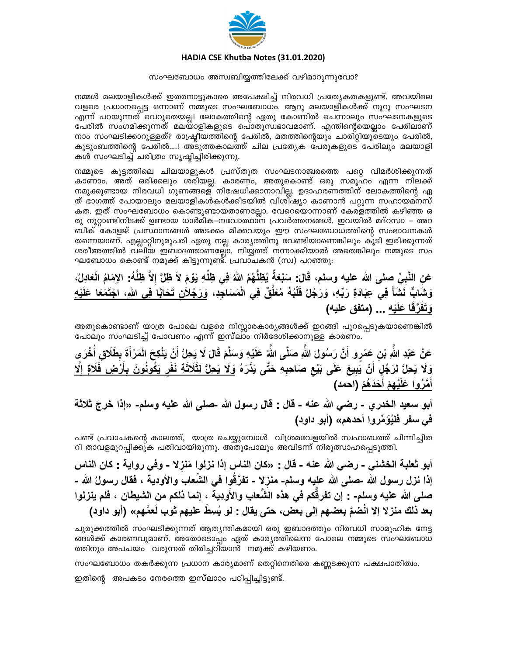

## HADIA CSE Khutba Notes (31.01.2020)

### സംഘബോധം അസ്വബിയ്യത്തിലേക്ക് വഴിമാറുന്നുവോ?

നമ്മൾ മലയാളികൾക്ക് ഇതരനാട്ടുകാരെ അപേക്ഷിച്ച് നിരവധി പ്രത്യേകതകളുണ്ട്. അവയിലെ വളരെ പ്രധാനപ്പെട്ട ഒന്നാണ് നമ്മുടെ സംഘബോധം. ആറു മലയാളികൾക്ക് നുറു സംഘടന എന്ന് പറയുന്നത് വെറുതെയല്ല! ലോകത്തിന്റെ ഏതു കോണിൽ ചെന്നാലും സംഘടനകളുടെ പേരിൽ സംഗമിക്കുന്നത് മലയാളികളുടെ പൊതുസ്വഭാവമാണ്. എന്തിന്റെയെല്ലാം പേരിലാണ് നാം സംഘടിക്കാറുള്ളത്? രാഷ്ട്രീയത്തിന്റെ പേരിൽ, മതത്തിന്റെയും ചാരിറ്റിയുടെയും പേരിൽ, കുടുംബത്തിന്റെ പേരിൽ....! അടുത്തകാലത്ത് ചില പ്രത്യേക പേരുകളുടെ പേരിലും മലയാളി കൾ സംഘടിച്ച് ചരിത്രം സൃഷ്ടിച്ചിരിക്കുന്നു.

നമ്മുടെ കുട്ടത്തിലെ ചിലയാളുകൾ പ്രസ്തുത സംഘടനാജ്വരത്തെ പറ്റെ വിമർശിക്കുന്നത് കാണാം. അത് ഒരിക്കലും ശരിയല്ല. കാരണം, അതുകൊണ്ട് ഒരു സമൂഹം എന്ന നിലക്ക് നമുക്കുണ്ടായ നിരവധി ഗുണങ്ങളെ് നിഷേധിക്കാനാവില്ല. ഉദാഹരണത്തിന് ലോകത്തിന്റെ ഏ ത് ഭാഗത്ത് പോയാലും മലയാളികൾകൾക്കിടയിൽ വിശിഷ്യാ കാണാൻ പറ്റുന്ന സഹായമനസ് കത. ഇത് സംഘബോധം കൊണ്ടുണ്ടായതാണല്ലോ. വേറെയൊന്നാണ് കേരളത്തിൽ കഴിഞ്ഞ ഒ രു നുറ്റാണ്ടിനിടക്ക് ഉണ്ടായ ധാർമിക–നവോത്ഥാന പ്രവർത്തനങ്ങൾ. ഇവയിൽ മദ്റസാ – അറ ബിക് കോളജ് പ്രസ്ഥാനങ്ങൾ അടക്കം മിക്കവയും ഈ സംഘബോധത്തിന്റെ സംഭാവനകൾ തന്നെയാണ്. എല്ലാറ്റിനുമുപരി ഏതു നല്ല കാര്യത്തിനു വേണ്ടിയാണെങ്കിലും കൂടി ഇരിക്കുന്നത് ശരീഅത്തിൽ വലിയ ഇബാദത്താണല്ലോ. നിയ്യത്ത് നന്നാക്കിയാൽ അതെങ്കിലും നമ്മുടെ സം ഘബോധം കൊണ്ട് നമുക്ക് കിട്ടുന്നുണ്ട്. പ്രവാചകൻ (സ്വ) പറഞ്ഞു:

عَنِ النَّبِيِّ صلى الله عليه وسلم، قَالَ: سَبْعَةٌ يُظِلُّهُمُ اللهُ فِي ظِلِّهِ يَوْمَ لاَ ظِلَّ إلاَّ ظِلَّهُ: الإمَامُ الْعَادِلُ، وَشَابٌ نَشَاً فِى عِبَادَةِ رَبِّهِ، وَرَجُلٌ قَلْبُهُ مُعَلَّقٌ فِي الْمَسَاجِدِ، وَرَجُلاَن تَحَابَّا فِي اللهِ، اجْتَمَعَا عَلَيْهِ وَتَفَرَّقَا عَلَيْه ... (متفق عليه)

അതുകൊണ്ടാണ് യാത്ര പോലെ വളരെ നിസ്സാരകാര്യങ്ങൾക്ക് ഇറങ്ങി പുറപ്പെടുകയാണെങ്കിൽ പോലും സംഘടിച്ച് പോവണം എന്ന് ഇസ്ലാം നിർദേശിക്കാനുള്ള കാരണം.

عَنْ عَبْدِ اللَّهِ بْنِ عَمْرِو أَنَّ رَسُولَ اللَّهِ صَلَّى اللَّهُ عَلَيْهِ وَسَلَّمَ قَالَ لَا يَحِلُّ أَنْ يَنْكِحَ الْمَرْأَةَ بِطَلَاقٍ أَخْرَى وَلَا يَحِلُّ لِرَجُلٍ أَنْ يَبِيعَ عَلَى بَيْعٍ صَاحِبِهِ حَتَّى يَذْرَهُ وَلَا يَحِلُّ لِثَلَاثَةِ نَفَر يَكُونُونَ بِأَرْضِ فَلَاةٍ إِلَا أَمَّرُوا عَلَيْهِمْ أَحَدَهُمْ (احمد)

أبو سعيد الخدري - رضي الله عنه - قال : قال رسول الله -صلى الله عليه وسلم- «إذا خرجَ ثلاثة في سفر فَلَيُوَمِّروا أحدهم» (أبو داود)

പണ്ട് പ്രവാചകന്റെ കാലത്ത്, യാത്ര ചെയ്യുമ്പോൾ വിശ്രമവേളയിൽ സ്വഹാബത്ത് ചിന്നിച്ചിത റി താവളമുറപ്പിക്കുക പതിവായിരുന്നു. അതുപോലും അവിടന്ന് നിരുത്സാഹപ്പെടുത്തി.

أبو ثعلبة الخشني - رضي الله عنه - قال : «كان الناس إذا نزلوا مَنزلا - وفي رواية : كان الناس إذا نزل رسول الله حصلي الله عليه وسلم- منزلا - تفرَّقُوا في الشِّعابِ والأودية ، فقال رسولُ الله -صلى الله عليه وسلم- : إن تفرقِّكم في هذه الشَّعابِ والأَوِدِية ، إنما ذلكم من الشيطان ، فلم ينزلوا بعد ذلك منز لا إلا انْضمَّ بعضهم إلى بعض، حتى يقال : لو بُسِطَ عليهم ثوب لَعمَّهم» (أبو داود)

ചുരുക്കത്തിൽ സംഘടിക്കുന്നത് ആത്യന്തികമായി ഒരു ഇബാദത്തും നിരവധി സാമുഹിക നേട്ട ങ്ങൾക്ക് കാരണവുമാണ്. അതോടൊപ്പം ഏത് കാര്യത്തിലെന്ന പോലെ നമ്മുടെ സംഘബോധ ത്തിനും അപചയം വരുന്നത് തിരിച്ചറിയാൻ നമുക്ക് കഴിയണം.

സംഘബോധം തകർക്കുന്ന പ്രധാന കാര്യമാണ് തെറ്റിനെതിരെ കണ്ണടക്കുന്ന പക്ഷപാതിത്വം.

ഇതിന്റെ അപകടം നേരത്തെ ഇസ്ലാാം പഠിപ്പിച്ചിട്ടുണ്ട്.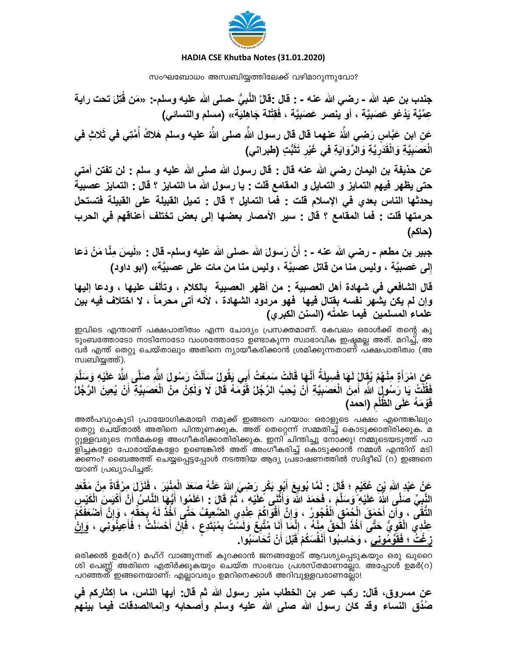

#### HADIA CSE Khutba Notes (31.01.2020)

സംഘബോധം അസ്വബിയ്യത്തിലേക്ക് വഴിമാറുന്നുവോ?

جندب بن عبد الله - رضي الله عنه - : قال :قالَّ النَّبِيُّ -صلى الله عليه وسلم-: «مَن قُتِلَ تحت راية عِمِّيَّة يَدْعُو عَصَبِيَّة ، أو ينصر عَصَبِيَّة ، فَقِتْلة جَاهِلِيَة» (مسلم والنسائي) عَنِ ابن عَبَّاسٍ رَضِي اللَّهُ عنـهما قال قال رسول اللَّهِ صلـى اللَّهُ عليه وسلم هَلاكُ أُمَّتِي في ثَلاثٍ في الْعَصَبِيَّةِ وَالْقَدَرِيَّةِ وَالرِّوَايَةِ في غَيْرِ تَتَّبُّتٍ (طبراني)

عن حذيفة بن اليمان رضي الله عنه قال : قال رسول الله صلى الله عليه و سلم : لن تفتن أمتى حتى يظهر فيهم التمايز و التمايل و المقامع قلت : يا رسول الله ما التمايز ؟ قال : التمايز عصبية يحدثها الناس بعدي في الإسلام قلت : فما التمايل ؟ قال : تميل القبيلة على القبيلة فتستحل حرمتها قلت : فما المقامع ؟ قال : سير الأمصار بعضها إلى بعض تختلف أعناقهم في الحرب (حاكم)

جِبِير بنِ مطعم - رضي الله عنه - : أَنَّ رَسولَ الله -صلى الله عليه وسلم- قال : «لَيسَ مِنَّا مَنْ دَعا إلى عَصبيَّة ، وليس منا من قاتل عصبيَّة ، وليس منا من مات على عصبيَّة» (ابو داود)

قال الشافعي في شهادة أهل العصبية : من أظهر العصبية بالكلام ، وتألف عليها ، ودعا إليها وإن لم يكن يشهر نفسه بقتال فيها فهو مردود الشهادة ، لأنه أتى محرماً ، لا اختلاف فيه بين علماء المسلمين فيما علمتُه (السنن الكبرى)

ഇവിടെ എന്താണ് പക്ഷപാതിത്വം എന്ന ചോദ്യം പ്രസക്തമാണ്. കേവലം ഒരാൾക്ക് തന്റെ കു ടുംബത്തോടോ നാടിനോടോ വംശത്തോടോ ഉണ്ടാകുന്ന സ്വാഭാവിക ഇഷ്ടമല്ല അത്. മറിച്ച്, അ വർ എന്ത് തെറ്റു ചെയ്താലും അതിനെ ന്യായീകരിക്കാൻ ശ്രമിക്കുന്നതാണ് പ്ക്ഷപാതിത്വം (അ സ്വബിയ്യത്ത്).

عَنِ امْرَأَةٍ مِنْهُمْ يُقَالُ لَهَا فَسِيلَةُ أَنَّهَا قَالَتْ سَمِعْتُ أَبِي يَقُولُ سَأَلْتُ رَسُولَ اللّهِ صَلَّى اللَّهُ عَلَيْهِ وَسَلَّمَ فَقَلْتُ يَا رَسُولَ اللهِ أَمِنَ الْعَصَبِيَّةِ أَنْ يُحِبَّ الرَّجُلُ قَوْمَهُ قَالَ لَا وَلَكِنْ مِنْ الْعَصَبِيَّةِ أَنْ يُعِينَ الرَّجُلُ قَوْمَهُ عَلَى الظُّلْمِ (احمد)

അൽപവുംകൂടി പ്രായോഗികമായി നമുക്ക് ഇങ്ങനെ പറയാം: ഒരാളുടെ പക്ഷം എന്തെങ്കിലും തെറ്റു ചെയ്താൽ അതിനെ പിന്തുണക്കുക. അത് തെറ്റെന്ന് സമ്മതിച്ച് കൊടുക്കാതിരിക്കുക. മ റ്റുള്ളവരുടെ നൻമകളെ അംഗീകരിക്കാതിരിക്കുക. ഇനി ചിന്തിച്ചു നോക്കൂ! നമ്മുടെയടുത്ത് പാ ളിച്ചകളോ പോരായ്മകളോ ഉണ്ടെങ്കിൽ അത് അംഗീകരിച്ച് കൊടുക്കാൻ നമ്മൾ എന്തിന് മടി ക്കണം? ബൈഅത്ത് ചെയ്യപ്പെട്ടപ്പോൾ നടത്തിയ ആദ്യ പ്രഭാഷണത്തിൽ സ്വിദ്ദീഖ് (റ) ഇങ്ങനെ യാണ് പ്രഖ്യാപിച്ചത്:

عَنْ عَبْدِ اللهِ بْنِ عُكَيْمٍ ؛ قَالَ : لَمَّا بُويعَ أَبُوٍ بَكْرٍ رَضِيَ اللهِ عَنْهُ صَعَدَ الْمِنْبَرَ ، فَنَزَلَ مِرْقَاةً مِنْ مَقْعَدِ النَّبِيِّ صَلَّى اللهُ عَلَيْهِ ۖ وَسَلَّمَ ، فَحَمَدَ اللَّهَ وَأَثْنَى عَلَيْهِ ، ثُمَّ قَالَ : اعْلَمُوا أَيُّهَا النَّاسُ أَنَّ أَكْيَسَ الْكَيْس التَّقَى ، وأَن أَحْمَقَ الْحُمْقِ الْفُجُورُ ، وَإِنَّ أَقْوَاكُمْ عِنْدِي الضَّعِيفُ حَتَّى آخُذَ لَهُ بِحَقَهِ ، وَإِنَّ أَصْعَفَكُمْ عِنْدِي الْقُوِيُّ حَتَّى آخُذَ الْحَقَّ مِنّْهُ ، إِنَّمَا أَنَا مُتَّبِعُ وَلَسُنَّتُ بِمُبْتَدِعٍ ، فَإِنْ أَحْسَنْتُ ؛ فَأَعِيذُونِّي ، وَإِنْٰ<br>زِغْتُ ؛ فَقَوْمُونِي ، وَحَاسِبُوا أَنْفُسَكُمْ قَبْلَ أَنْ تُحَاسَبُوا.

ഒരിക്കൽ ഉമർ(റ) മഹ്റ് വാങ്ങുന്നത് കുറക്കാൻ ജനങ്ങളോട് ആവശ്യപ്പെടുകയും ഒരു ഖുറൈ ശി പെണ്ണ് അതിനെ എതിർക്കുകയും ചെയ്ത സംഭവം പ്രശസ്തമാണല്ലോ. അപ്പോൾ ഉമർ(റ) പറഞ്ഞത് ഇങ്ങനെയാണ്: എല്ലാവരും ഉമറിനെക്കാൾ അറിവുള്ളവരാണല്ലോ!

عن مسروق، قال: ركب عمر بن الخطاب منبر رسول الله ثم قال: أيها الناس، ما إكثاركم في صُدُق النساء وقد كان رسول الله صلى الله عليه وسلم وأصحابه وإنماالصدقات فيما بينهم